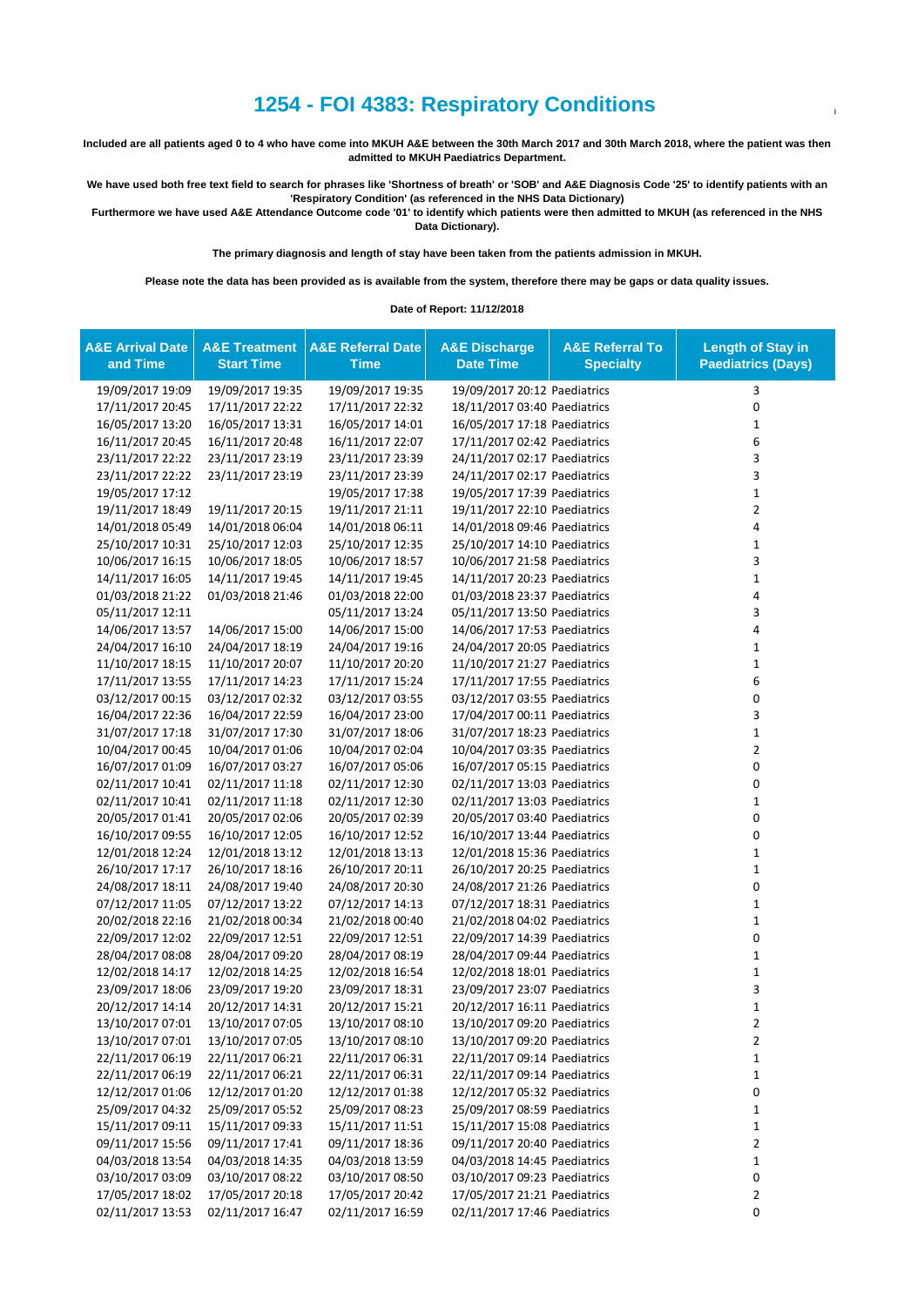## **1254 - FOI 4383: Respiratory Conditions**

**Included are all patients aged 0 to 4 who have come into MKUH A&E between the 30th March 2017 and 30th March 2018, where the patient was then admitted to MKUH Paediatrics Department.**

**We have used both free text field to search for phrases like 'Shortness of breath' or 'SOB' and A&E Diagnosis Code '25' to identify patients with an 'Respiratory Condition' (as referenced in the NHS Data Dictionary)**

**Furthermore we have used A&E Attendance Outcome code '01' to identify which patients were then admitted to MKUH (as referenced in the NHS Data Dictionary).**

**The primary diagnosis and length of stay have been taken from the patients admission in MKUH.**

**Please note the data has been provided as is available from the system, therefore there may be gaps or data quality issues.**

**Date of Report: 11/12/2018**

| <b>A&amp;E Arrival Date</b><br>and Time | <b>A&amp;E Treatment</b><br><b>Start Time</b> | <b>A&amp;E Referral Date</b><br><b>Time</b> | <b>A&amp;E Discharge</b><br><b>Date Time</b> | <b>A&amp;E Referral To</b><br><b>Specialty</b> | <b>Length of Stay in</b><br><b>Paediatrics (Days)</b> |
|-----------------------------------------|-----------------------------------------------|---------------------------------------------|----------------------------------------------|------------------------------------------------|-------------------------------------------------------|
| 19/09/2017 19:09                        | 19/09/2017 19:35                              | 19/09/2017 19:35                            | 19/09/2017 20:12 Paediatrics                 |                                                | 3                                                     |
| 17/11/2017 20:45                        | 17/11/2017 22:22                              | 17/11/2017 22:32                            | 18/11/2017 03:40 Paediatrics                 |                                                | 0                                                     |
| 16/05/2017 13:20                        | 16/05/2017 13:31                              | 16/05/2017 14:01                            | 16/05/2017 17:18 Paediatrics                 |                                                | 1                                                     |
| 16/11/2017 20:45                        | 16/11/2017 20:48                              | 16/11/2017 22:07                            | 17/11/2017 02:42 Paediatrics                 |                                                | 6                                                     |
| 23/11/2017 22:22                        | 23/11/2017 23:19                              | 23/11/2017 23:39                            | 24/11/2017 02:17 Paediatrics                 |                                                | 3                                                     |
| 23/11/2017 22:22                        | 23/11/2017 23:19                              | 23/11/2017 23:39                            | 24/11/2017 02:17 Paediatrics                 |                                                | 3                                                     |
| 19/05/2017 17:12                        |                                               | 19/05/2017 17:38                            | 19/05/2017 17:39 Paediatrics                 |                                                | $\mathbf{1}$                                          |
| 19/11/2017 18:49                        | 19/11/2017 20:15                              | 19/11/2017 21:11                            | 19/11/2017 22:10 Paediatrics                 |                                                | $\overline{2}$                                        |
| 14/01/2018 05:49                        | 14/01/2018 06:04                              | 14/01/2018 06:11                            | 14/01/2018 09:46 Paediatrics                 |                                                | 4                                                     |
| 25/10/2017 10:31                        | 25/10/2017 12:03                              | 25/10/2017 12:35                            | 25/10/2017 14:10 Paediatrics                 |                                                | $\mathbf 1$                                           |
| 10/06/2017 16:15                        | 10/06/2017 18:05                              | 10/06/2017 18:57                            | 10/06/2017 21:58 Paediatrics                 |                                                | 3                                                     |
| 14/11/2017 16:05                        | 14/11/2017 19:45                              | 14/11/2017 19:45                            | 14/11/2017 20:23 Paediatrics                 |                                                | $\mathbf 1$                                           |
| 01/03/2018 21:22                        | 01/03/2018 21:46                              | 01/03/2018 22:00                            | 01/03/2018 23:37 Paediatrics                 |                                                | 4                                                     |
| 05/11/2017 12:11                        |                                               | 05/11/2017 13:24                            | 05/11/2017 13:50 Paediatrics                 |                                                | 3                                                     |
| 14/06/2017 13:57                        | 14/06/2017 15:00                              | 14/06/2017 15:00                            | 14/06/2017 17:53 Paediatrics                 |                                                | 4                                                     |
| 24/04/2017 16:10                        | 24/04/2017 18:19                              | 24/04/2017 19:16                            | 24/04/2017 20:05 Paediatrics                 |                                                | $\mathbf 1$                                           |
| 11/10/2017 18:15                        | 11/10/2017 20:07                              | 11/10/2017 20:20                            | 11/10/2017 21:27 Paediatrics                 |                                                | $\mathbf{1}$                                          |
| 17/11/2017 13:55                        | 17/11/2017 14:23                              | 17/11/2017 15:24                            | 17/11/2017 17:55 Paediatrics                 |                                                | 6                                                     |
| 03/12/2017 00:15                        | 03/12/2017 02:32                              | 03/12/2017 03:55                            | 03/12/2017 03:55 Paediatrics                 |                                                | 0                                                     |
| 16/04/2017 22:36                        | 16/04/2017 22:59                              | 16/04/2017 23:00                            | 17/04/2017 00:11 Paediatrics                 |                                                | 3                                                     |
| 31/07/2017 17:18                        | 31/07/2017 17:30                              | 31/07/2017 18:06                            | 31/07/2017 18:23 Paediatrics                 |                                                | $\mathbf{1}$                                          |
| 10/04/2017 00:45                        | 10/04/2017 01:06                              | 10/04/2017 02:04                            | 10/04/2017 03:35 Paediatrics                 |                                                | $\overline{2}$                                        |
| 16/07/2017 01:09                        | 16/07/2017 03:27                              | 16/07/2017 05:06                            | 16/07/2017 05:15 Paediatrics                 |                                                | 0                                                     |
| 02/11/2017 10:41                        | 02/11/2017 11:18                              | 02/11/2017 12:30                            | 02/11/2017 13:03 Paediatrics                 |                                                | $\mathbf 0$                                           |
| 02/11/2017 10:41                        | 02/11/2017 11:18                              | 02/11/2017 12:30                            | 02/11/2017 13:03 Paediatrics                 |                                                | $\mathbf{1}$                                          |
| 20/05/2017 01:41                        | 20/05/2017 02:06                              | 20/05/2017 02:39                            | 20/05/2017 03:40 Paediatrics                 |                                                | 0                                                     |
| 16/10/2017 09:55                        | 16/10/2017 12:05                              | 16/10/2017 12:52                            | 16/10/2017 13:44 Paediatrics                 |                                                | 0                                                     |
| 12/01/2018 12:24                        | 12/01/2018 13:12                              | 12/01/2018 13:13                            | 12/01/2018 15:36 Paediatrics                 |                                                | $\mathbf{1}$                                          |
| 26/10/2017 17:17                        | 26/10/2017 18:16                              | 26/10/2017 20:11                            | 26/10/2017 20:25 Paediatrics                 |                                                | $\mathbf 1$                                           |
| 24/08/2017 18:11                        | 24/08/2017 19:40                              | 24/08/2017 20:30                            | 24/08/2017 21:26 Paediatrics                 |                                                | 0                                                     |
| 07/12/2017 11:05                        | 07/12/2017 13:22                              | 07/12/2017 14:13                            | 07/12/2017 18:31 Paediatrics                 |                                                | $\mathbf{1}$                                          |
| 20/02/2018 22:16                        | 21/02/2018 00:34                              | 21/02/2018 00:40                            | 21/02/2018 04:02 Paediatrics                 |                                                | $\mathbf{1}$                                          |
| 22/09/2017 12:02                        | 22/09/2017 12:51                              | 22/09/2017 12:51                            | 22/09/2017 14:39 Paediatrics                 |                                                | 0                                                     |
| 28/04/2017 08:08                        | 28/04/2017 09:20                              | 28/04/2017 08:19                            | 28/04/2017 09:44 Paediatrics                 |                                                | $\mathbf 1$                                           |
| 12/02/2018 14:17                        | 12/02/2018 14:25                              | 12/02/2018 16:54                            | 12/02/2018 18:01 Paediatrics                 |                                                | $\mathbf 1$                                           |
| 23/09/2017 18:06                        | 23/09/2017 19:20                              | 23/09/2017 18:31                            | 23/09/2017 23:07 Paediatrics                 |                                                | 3                                                     |
| 20/12/2017 14:14                        | 20/12/2017 14:31                              | 20/12/2017 15:21                            | 20/12/2017 16:11 Paediatrics                 |                                                | $\mathbf 1$                                           |
| 13/10/2017 07:01                        | 13/10/2017 07:05                              | 13/10/2017 08:10                            | 13/10/2017 09:20 Paediatrics                 |                                                | $\mathfrak{p}$                                        |
| 13/10/2017 07:01                        | 13/10/2017 07:05                              | 13/10/2017 08:10                            | 13/10/2017 09:20 Paediatrics                 |                                                | 2                                                     |
| 22/11/2017 06:19                        | 22/11/2017 06:21                              | 22/11/2017 06:31                            | 22/11/2017 09:14 Paediatrics                 |                                                | 1                                                     |
| 22/11/2017 06:19                        | 22/11/2017 06:21                              | 22/11/2017 06:31                            | 22/11/2017 09:14 Paediatrics                 |                                                | $\mathbf{1}$                                          |
| 12/12/2017 01:06                        | 12/12/2017 01:20                              | 12/12/2017 01:38                            | 12/12/2017 05:32 Paediatrics                 |                                                | 0                                                     |
| 25/09/2017 04:32                        | 25/09/2017 05:52                              | 25/09/2017 08:23                            | 25/09/2017 08:59 Paediatrics                 |                                                | $\mathbf{1}$                                          |
| 15/11/2017 09:11                        | 15/11/2017 09:33                              | 15/11/2017 11:51                            | 15/11/2017 15:08 Paediatrics                 |                                                | $\mathbf{1}$                                          |
| 09/11/2017 15:56                        | 09/11/2017 17:41                              | 09/11/2017 18:36                            | 09/11/2017 20:40 Paediatrics                 |                                                | $\overline{2}$                                        |
| 04/03/2018 13:54                        | 04/03/2018 14:35                              | 04/03/2018 13:59                            | 04/03/2018 14:45 Paediatrics                 |                                                | 1                                                     |
| 03/10/2017 03:09                        | 03/10/2017 08:22                              | 03/10/2017 08:50                            | 03/10/2017 09:23 Paediatrics                 |                                                | 0                                                     |
| 17/05/2017 18:02                        | 17/05/2017 20:18                              | 17/05/2017 20:42                            | 17/05/2017 21:21 Paediatrics                 |                                                | $\overline{2}$                                        |
| 02/11/2017 13:53                        | 02/11/2017 16:47                              | 02/11/2017 16:59                            | 02/11/2017 17:46 Paediatrics                 |                                                | 0                                                     |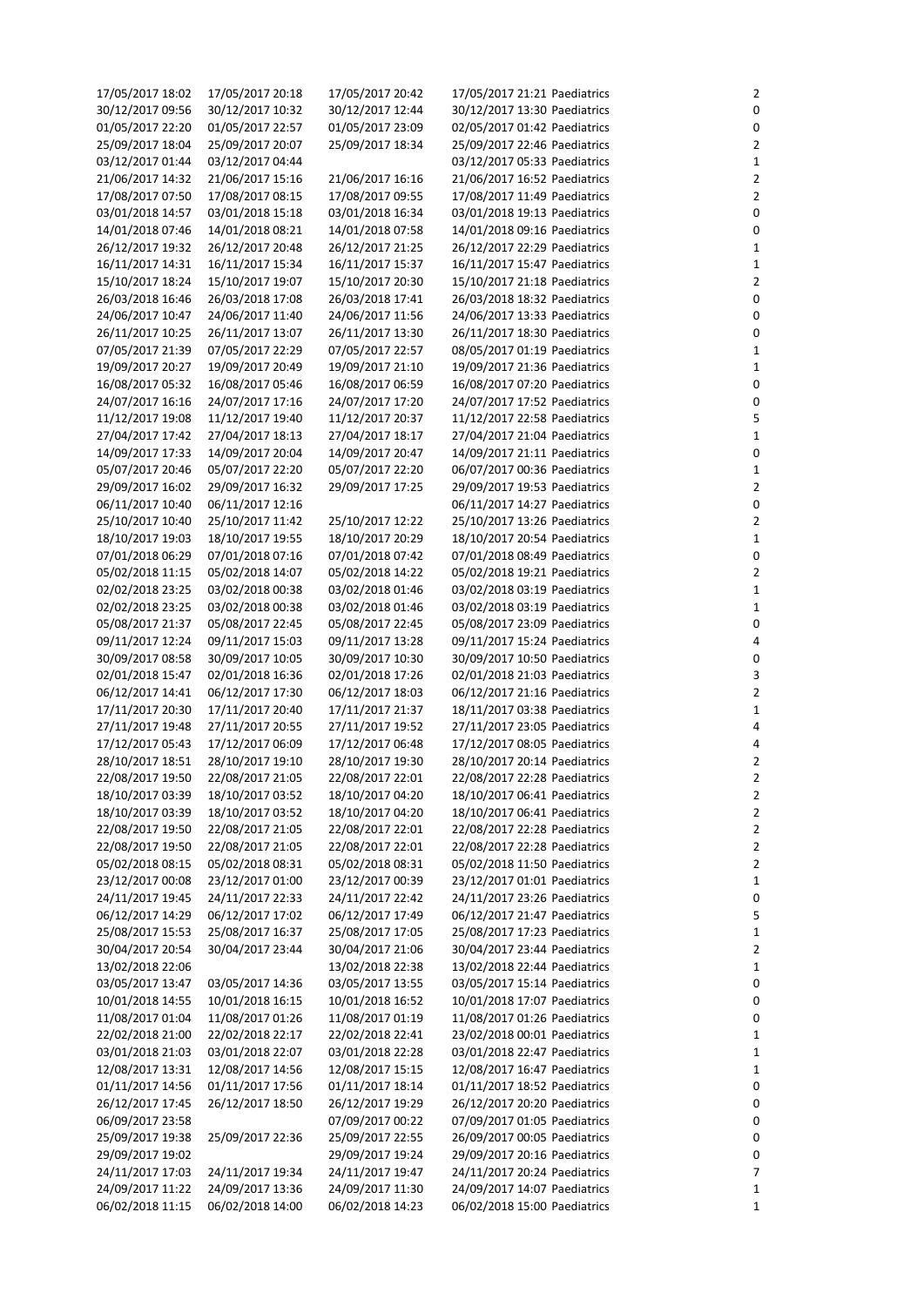| 17/05/2017 18:02 | 17/05/2017 20:18 | 17/05/2017 20:42 | 17/05/2017 21:21 Paediatrics | $\overline{2}$ |
|------------------|------------------|------------------|------------------------------|----------------|
| 30/12/2017 09:56 | 30/12/2017 10:32 | 30/12/2017 12:44 | 30/12/2017 13:30 Paediatrics | $\pmb{0}$      |
| 01/05/2017 22:20 | 01/05/2017 22:57 | 01/05/2017 23:09 | 02/05/2017 01:42 Paediatrics | $\pmb{0}$      |
| 25/09/2017 18:04 | 25/09/2017 20:07 | 25/09/2017 18:34 | 25/09/2017 22:46 Paediatrics | $\overline{2}$ |
| 03/12/2017 01:44 | 03/12/2017 04:44 |                  | 03/12/2017 05:33 Paediatrics | $\mathbf{1}$   |
| 21/06/2017 14:32 | 21/06/2017 15:16 | 21/06/2017 16:16 | 21/06/2017 16:52 Paediatrics | $\overline{2}$ |
|                  |                  |                  |                              |                |
| 17/08/2017 07:50 | 17/08/2017 08:15 | 17/08/2017 09:55 | 17/08/2017 11:49 Paediatrics | $\overline{2}$ |
| 03/01/2018 14:57 | 03/01/2018 15:18 | 03/01/2018 16:34 | 03/01/2018 19:13 Paediatrics | $\pmb{0}$      |
| 14/01/2018 07:46 | 14/01/2018 08:21 | 14/01/2018 07:58 | 14/01/2018 09:16 Paediatrics | $\pmb{0}$      |
| 26/12/2017 19:32 | 26/12/2017 20:48 | 26/12/2017 21:25 | 26/12/2017 22:29 Paediatrics | $\mathbf{1}$   |
| 16/11/2017 14:31 | 16/11/2017 15:34 | 16/11/2017 15:37 | 16/11/2017 15:47 Paediatrics | $\mathbf{1}$   |
| 15/10/2017 18:24 | 15/10/2017 19:07 | 15/10/2017 20:30 | 15/10/2017 21:18 Paediatrics | $\overline{2}$ |
| 26/03/2018 16:46 | 26/03/2018 17:08 | 26/03/2018 17:41 | 26/03/2018 18:32 Paediatrics | $\pmb{0}$      |
|                  |                  |                  |                              |                |
| 24/06/2017 10:47 | 24/06/2017 11:40 | 24/06/2017 11:56 | 24/06/2017 13:33 Paediatrics | $\pmb{0}$      |
| 26/11/2017 10:25 | 26/11/2017 13:07 | 26/11/2017 13:30 | 26/11/2017 18:30 Paediatrics | $\pmb{0}$      |
| 07/05/2017 21:39 | 07/05/2017 22:29 | 07/05/2017 22:57 | 08/05/2017 01:19 Paediatrics | $\mathbf{1}$   |
| 19/09/2017 20:27 | 19/09/2017 20:49 | 19/09/2017 21:10 | 19/09/2017 21:36 Paediatrics | $\mathbf{1}$   |
| 16/08/2017 05:32 | 16/08/2017 05:46 | 16/08/2017 06:59 | 16/08/2017 07:20 Paediatrics | $\pmb{0}$      |
| 24/07/2017 16:16 | 24/07/2017 17:16 | 24/07/2017 17:20 | 24/07/2017 17:52 Paediatrics | $\pmb{0}$      |
| 11/12/2017 19:08 | 11/12/2017 19:40 | 11/12/2017 20:37 | 11/12/2017 22:58 Paediatrics | 5              |
|                  |                  |                  |                              |                |
| 27/04/2017 17:42 | 27/04/2017 18:13 | 27/04/2017 18:17 | 27/04/2017 21:04 Paediatrics | $\mathbf{1}$   |
| 14/09/2017 17:33 | 14/09/2017 20:04 | 14/09/2017 20:47 | 14/09/2017 21:11 Paediatrics | $\pmb{0}$      |
| 05/07/2017 20:46 | 05/07/2017 22:20 | 05/07/2017 22:20 | 06/07/2017 00:36 Paediatrics | $\mathbf{1}$   |
| 29/09/2017 16:02 | 29/09/2017 16:32 | 29/09/2017 17:25 | 29/09/2017 19:53 Paediatrics | $\overline{2}$ |
| 06/11/2017 10:40 | 06/11/2017 12:16 |                  | 06/11/2017 14:27 Paediatrics | $\pmb{0}$      |
| 25/10/2017 10:40 | 25/10/2017 11:42 | 25/10/2017 12:22 | 25/10/2017 13:26 Paediatrics | $\overline{2}$ |
|                  |                  |                  |                              |                |
| 18/10/2017 19:03 | 18/10/2017 19:55 | 18/10/2017 20:29 | 18/10/2017 20:54 Paediatrics | $\mathbf{1}$   |
| 07/01/2018 06:29 | 07/01/2018 07:16 | 07/01/2018 07:42 | 07/01/2018 08:49 Paediatrics | $\pmb{0}$      |
| 05/02/2018 11:15 | 05/02/2018 14:07 | 05/02/2018 14:22 | 05/02/2018 19:21 Paediatrics | $\overline{2}$ |
| 02/02/2018 23:25 | 03/02/2018 00:38 | 03/02/2018 01:46 | 03/02/2018 03:19 Paediatrics | $\mathbf{1}$   |
| 02/02/2018 23:25 | 03/02/2018 00:38 | 03/02/2018 01:46 | 03/02/2018 03:19 Paediatrics | $\mathbf{1}$   |
| 05/08/2017 21:37 | 05/08/2017 22:45 | 05/08/2017 22:45 | 05/08/2017 23:09 Paediatrics | $\pmb{0}$      |
| 09/11/2017 12:24 | 09/11/2017 15:03 | 09/11/2017 13:28 | 09/11/2017 15:24 Paediatrics | $\overline{a}$ |
|                  |                  |                  |                              |                |
| 30/09/2017 08:58 | 30/09/2017 10:05 | 30/09/2017 10:30 | 30/09/2017 10:50 Paediatrics | $\pmb{0}$      |
| 02/01/2018 15:47 | 02/01/2018 16:36 | 02/01/2018 17:26 | 02/01/2018 21:03 Paediatrics | $\mathsf 3$    |
| 06/12/2017 14:41 | 06/12/2017 17:30 | 06/12/2017 18:03 | 06/12/2017 21:16 Paediatrics | $\overline{2}$ |
| 17/11/2017 20:30 | 17/11/2017 20:40 | 17/11/2017 21:37 | 18/11/2017 03:38 Paediatrics | $\mathbf{1}$   |
| 27/11/2017 19:48 | 27/11/2017 20:55 | 27/11/2017 19:52 | 27/11/2017 23:05 Paediatrics | 4              |
| 17/12/2017 05:43 | 17/12/2017 06:09 | 17/12/2017 06:48 | 17/12/2017 08:05 Paediatrics | $\overline{a}$ |
| 28/10/2017 18:51 | 28/10/2017 19:10 | 28/10/2017 19:30 | 28/10/2017 20:14 Paediatrics | $\overline{2}$ |
|                  |                  |                  |                              |                |
| 22/08/2017 19:50 | 22/08/2017 21:05 | 22/08/2017 22:01 | 22/08/2017 22:28 Paediatrics | $\overline{2}$ |
| 18/10/2017 03:39 | 18/10/2017 03:52 | 18/10/2017 04:20 | 18/10/2017 06:41 Paediatrics | $\overline{2}$ |
| 18/10/2017 03:39 | 18/10/2017 03:52 | 18/10/2017 04:20 | 18/10/2017 06:41 Paediatrics | $\overline{2}$ |
| 22/08/2017 19:50 | 22/08/2017 21:05 | 22/08/2017 22:01 | 22/08/2017 22:28 Paediatrics | $\overline{2}$ |
| 22/08/2017 19:50 | 22/08/2017 21:05 | 22/08/2017 22:01 | 22/08/2017 22:28 Paediatrics | $\overline{2}$ |
| 05/02/2018 08:15 | 05/02/2018 08:31 | 05/02/2018 08:31 | 05/02/2018 11:50 Paediatrics | $\overline{2}$ |
| 23/12/2017 00:08 | 23/12/2017 01:00 | 23/12/2017 00:39 | 23/12/2017 01:01 Paediatrics | $\mathbf{1}$   |
|                  |                  |                  |                              |                |
| 24/11/2017 19:45 | 24/11/2017 22:33 | 24/11/2017 22:42 | 24/11/2017 23:26 Paediatrics | 0              |
| 06/12/2017 14:29 | 06/12/2017 17:02 | 06/12/2017 17:49 | 06/12/2017 21:47 Paediatrics | 5              |
| 25/08/2017 15:53 | 25/08/2017 16:37 | 25/08/2017 17:05 | 25/08/2017 17:23 Paediatrics | $\mathbf{1}$   |
| 30/04/2017 20:54 | 30/04/2017 23:44 | 30/04/2017 21:06 | 30/04/2017 23:44 Paediatrics | $\overline{2}$ |
| 13/02/2018 22:06 |                  | 13/02/2018 22:38 | 13/02/2018 22:44 Paediatrics | 1              |
| 03/05/2017 13:47 | 03/05/2017 14:36 | 03/05/2017 13:55 | 03/05/2017 15:14 Paediatrics | $\pmb{0}$      |
| 10/01/2018 14:55 | 10/01/2018 16:15 | 10/01/2018 16:52 | 10/01/2018 17:07 Paediatrics | 0              |
|                  |                  |                  |                              |                |
| 11/08/2017 01:04 | 11/08/2017 01:26 | 11/08/2017 01:19 | 11/08/2017 01:26 Paediatrics | 0              |
| 22/02/2018 21:00 | 22/02/2018 22:17 | 22/02/2018 22:41 | 23/02/2018 00:01 Paediatrics | $\mathbf{1}$   |
| 03/01/2018 21:03 | 03/01/2018 22:07 | 03/01/2018 22:28 | 03/01/2018 22:47 Paediatrics | $\mathbf{1}$   |
| 12/08/2017 13:31 | 12/08/2017 14:56 | 12/08/2017 15:15 | 12/08/2017 16:47 Paediatrics | 1              |
| 01/11/2017 14:56 | 01/11/2017 17:56 | 01/11/2017 18:14 | 01/11/2017 18:52 Paediatrics | 0              |
| 26/12/2017 17:45 | 26/12/2017 18:50 | 26/12/2017 19:29 | 26/12/2017 20:20 Paediatrics | $\pmb{0}$      |
| 06/09/2017 23:58 |                  | 07/09/2017 00:22 | 07/09/2017 01:05 Paediatrics | $\pmb{0}$      |
|                  |                  |                  |                              |                |
| 25/09/2017 19:38 | 25/09/2017 22:36 | 25/09/2017 22:55 | 26/09/2017 00:05 Paediatrics | 0              |
| 29/09/2017 19:02 |                  | 29/09/2017 19:24 | 29/09/2017 20:16 Paediatrics | $\pmb{0}$      |
| 24/11/2017 17:03 | 24/11/2017 19:34 | 24/11/2017 19:47 | 24/11/2017 20:24 Paediatrics | $\overline{7}$ |
| 24/09/2017 11:22 | 24/09/2017 13:36 | 24/09/2017 11:30 | 24/09/2017 14:07 Paediatrics | $\mathbf{1}$   |
| 06/02/2018 11:15 | 06/02/2018 14:00 | 06/02/2018 14:23 | 06/02/2018 15:00 Paediatrics | $\mathbf{1}$   |